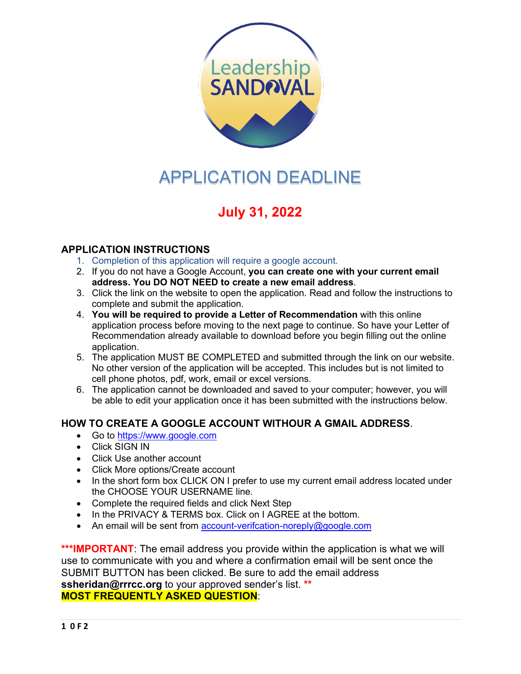

# APPLICATION DEADLINE

# **July 31, 2022**

# **APPLICATION INSTRUCTIONS**

- 1. Completion of this application will require a google account.
- 2. If you do not have a Google Account, **you can create one with your current email address. You DO NOT NEED to create a new email address**.
- 3. Click the link on the website to open the application. Read and follow the instructions to complete and submit the application.
- 4. **You will be required to provide a Letter of Recommendation** with this online application process before moving to the next page to continue. So have your Letter of Recommendation already available to download before you begin filling out the online application.
- 5. The application MUST BE COMPLETED and submitted through the link on our website. No other version of the application will be accepted. This includes but is not limited to cell phone photos, pdf, work, email or excel versions.
- 6. The application cannot be downloaded and saved to your computer; however, you will be able to edit your application once it has been submitted with the instructions below.

# **HOW TO CREATE A GOOGLE ACCOUNT WITHOUR A GMAIL ADDRESS**.

- Go to [https://www.google.com](https://www.google.com/)
- Click SIGN IN
- Click Use another account
- Click More options/Create account
- In the short form box CLICK ON I prefer to use my current email address located under the CHOOSE YOUR USERNAME line.
- Complete the required fields and click Next Step
- In the PRIVACY & TERMS box. Click on I AGREE at the bottom.
- An email will be sent from [account-verifcation-noreply@google.com](mailto:account-verifcation-noreply@google.com)

\*\*\*IMPORTANT: The email address you provide within the application is what we will use to communicate with you and where a confirmation email will be sent once the SUBMIT BUTTON has been clicked. Be sure to add the email address **[ssheridan@rrrcc.org](mailto:ssheridan@rrrcc.org)** to your approved sender's list. **\*\* MOST FREQUENTLY ASKED QUESTION**: